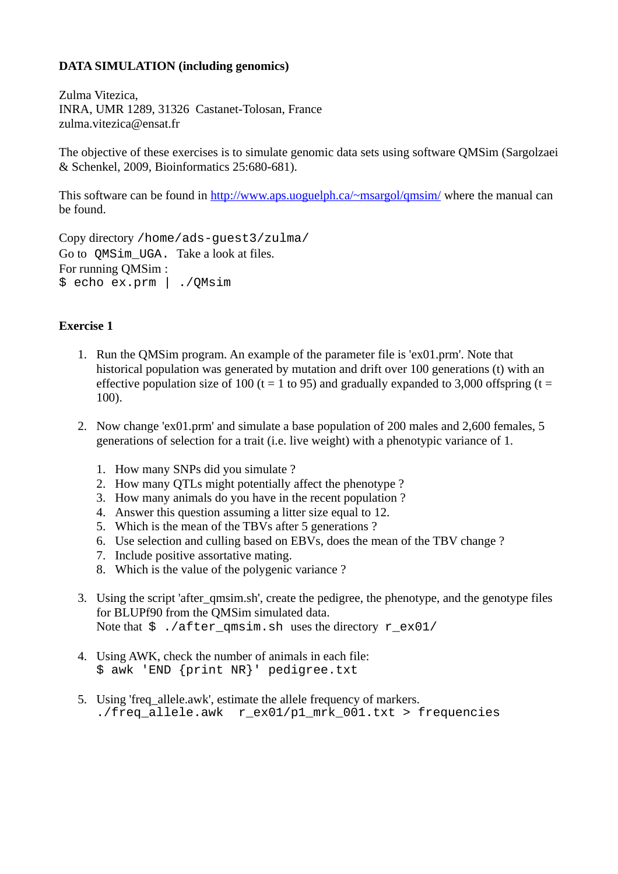## **DATA SIMULATION (including genomics)**

Zulma Vitezica, INRA, UMR 1289, 31326 Castanet-Tolosan, France zulma.vitezica@ensat.fr

The objective of these exercises is to simulate genomic data sets using software QMSim (Sargolzaei & Schenkel, 2009, Bioinformatics 25:680-681).

This software can be found in <http://www.aps.uoguelph.ca/~msargol/qmsim/>where the manual can be found.

Copy directory /home/ads-guest3/zulma/ Go to QMSim\_UGA. Take a look at files. For running QMSim : \$ echo ex.prm | ./QMsim

## **Exercise 1**

- 1. Run the QMSim program. An example of the parameter file is 'ex01.prm'. Note that historical population was generated by mutation and drift over 100 generations (t) with an effective population size of 100 (t = 1 to 95) and gradually expanded to 3,000 offspring (t = 100).
- 2. Now change 'ex01.prm' and simulate a base population of 200 males and 2,600 females, 5 generations of selection for a trait (i.e. live weight) with a phenotypic variance of 1.
	- 1. How many SNPs did you simulate ?
	- 2. How many QTLs might potentially affect the phenotype ?
	- 3. How many animals do you have in the recent population ?
	- 4. Answer this question assuming a litter size equal to 12.
	- 5. Which is the mean of the TBVs after 5 generations ?
	- 6. Use selection and culling based on EBVs, does the mean of the TBV change ?
	- 7. Include positive assortative mating.
	- 8. Which is the value of the polygenic variance ?
- 3. Using the script 'after qmsim.sh', create the pedigree, the phenotype, and the genotype files for BLUPf90 from the QMSim simulated data. Note that \$ ./after\_qmsim.sh uses the directory r\_ex01/
- 4. Using AWK, check the number of animals in each file: \$ awk 'END {print NR}' pedigree.txt
- 5. Using 'freq\_allele.awk', estimate the allele frequency of markers. ./freq\_allele.awk r\_ex01/p1\_mrk\_001.txt > frequencies